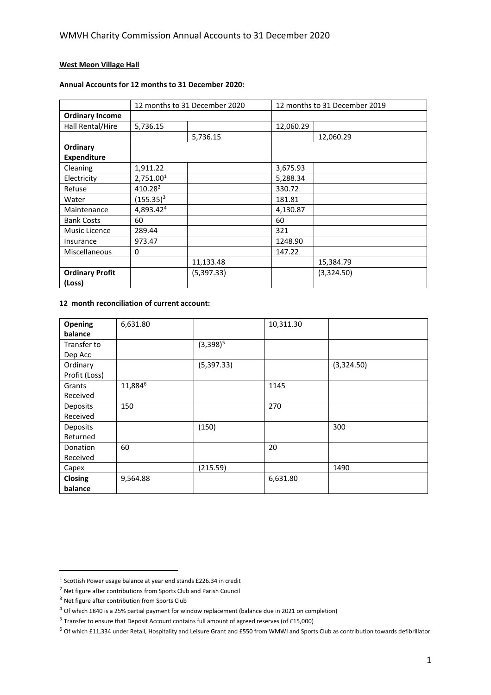# **West Meon Village Hall**

# **Annual Accounts for 12 months to 31 December 2020:**

|                        | 12 months to 31 December 2020 |            | 12 months to 31 December 2019 |            |
|------------------------|-------------------------------|------------|-------------------------------|------------|
| <b>Ordinary Income</b> |                               |            |                               |            |
| Hall Rental/Hire       | 5,736.15                      |            | 12,060.29                     |            |
|                        |                               | 5,736.15   |                               | 12,060.29  |
| Ordinary               |                               |            |                               |            |
| <b>Expenditure</b>     |                               |            |                               |            |
| Cleaning               | 1,911.22                      |            | 3,675.93                      |            |
| Electricity            | 2,751.001                     |            | 5,288.34                      |            |
| Refuse                 | 410.28 <sup>2</sup>           |            | 330.72                        |            |
| Water                  | $(155.35)^3$                  |            | 181.81                        |            |
| Maintenance            | 4,893.42 <sup>4</sup>         |            | 4,130.87                      |            |
| <b>Bank Costs</b>      | 60                            |            | 60                            |            |
| Music Licence          | 289.44                        |            | 321                           |            |
| Insurance              | 973.47                        |            | 1248.90                       |            |
| Miscellaneous          | $\Omega$                      |            | 147.22                        |            |
|                        |                               | 11,133.48  |                               | 15,384.79  |
| <b>Ordinary Profit</b> |                               | (5,397.33) |                               | (3,324.50) |
| (Loss)                 |                               |            |                               |            |

## **12 month reconciliation of current account:**

| Opening        | 6,631.80 |             | 10,311.30 |            |
|----------------|----------|-------------|-----------|------------|
| balance        |          |             |           |            |
| Transfer to    |          | $(3,398)^5$ |           |            |
| Dep Acc        |          |             |           |            |
| Ordinary       |          | (5,397.33)  |           | (3,324.50) |
| Profit (Loss)  |          |             |           |            |
| Grants         | 11,8846  |             | 1145      |            |
| Received       |          |             |           |            |
| Deposits       | 150      |             | 270       |            |
| Received       |          |             |           |            |
| Deposits       |          | (150)       |           | 300        |
| Returned       |          |             |           |            |
| Donation       | 60       |             | 20        |            |
| Received       |          |             |           |            |
| Capex          |          | (215.59)    |           | 1490       |
| <b>Closing</b> | 9,564.88 |             | 6,631.80  |            |
| balance        |          |             |           |            |

 $<sup>1</sup>$  Scottish Power usage balance at year end stands £226.34 in credit</sup>

<sup>2</sup> Net figure after contributions from Sports Club and Parish Council

 $3$  Net figure after contribution from Sports Club

<sup>4</sup> Of which £840 is a 25% partial payment for window replacement (balance due in 2021 on completion)

<sup>&</sup>lt;sup>5</sup> Transfer to ensure that Deposit Account contains full amount of agreed reserves (of £15,000)

 $6$  Of which £11,334 under Retail, Hospitality and Leisure Grant and £550 from WMWI and Sports Club as contribution towards defibrillator